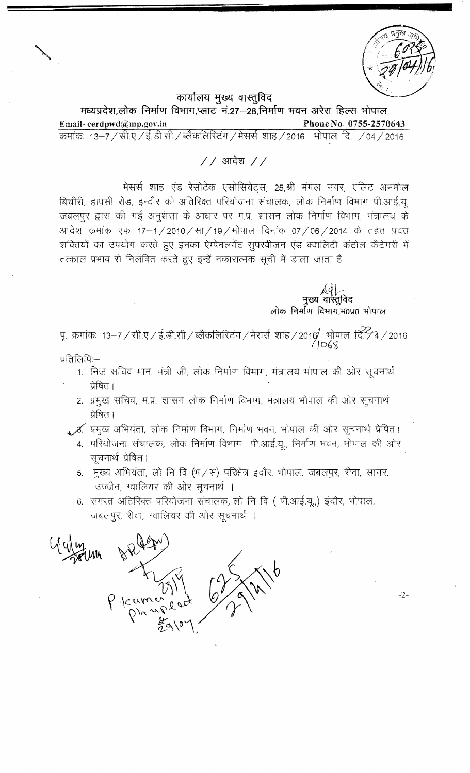$-2-$ 

कार्यालय मुख्य वास्तुविद

मध्यप्रदेश,लोक निर्माण विभाग,प्लाट नं.27-28,निर्माण भवन अरेरा हिल्स भोपाल Email-cerdpwd@mp.gov.in Phone No. 0755-2570643 क्रमांकः 13–7 / सी.ए / ई.डी.सी / ब्लैकलिस्टिंग / मेसर्स शाह / 2016 भोपाल दि. / 04 / 2016

## $//$  आदेश  $//$

मेसर्स शाह एंड रेसोटेक एसोसियेट्स, 25,श्री मंगल नगर, एलिट अनमोल बिचौरी, हापसी रोड, इन्दौर को अतिरिक्त परियोजना संचालक, लोक निर्माण विभाग पी.आई.यू. जबलपुर द्वारा की गई अनुशंसा के आधार पर म.प्र. शासन लोक निर्माण विभाग, मंत्रालय के आदेश कमांक एफ 17–1/2010/सा/19/भोपाल दिनांक 07/06/2014 के तहत प्रदत शक्तियों का उपयोग करते हुए इनका ऐम्पेनलमेंट सूपरवीजन एंड क्वालिटी कंटोल कैटेगरी में तत्काल प्रभाव से निलंबित करते हुए इन्हें नकारात्मक सूची में डाला जाता है।

मुख्य वास्तुविद<br>लोक निर्माण विभाग,म0प्र0 भोपाल

पृ. क्रमांकः 13–7 / सी.ए / ई.डी.सी / ब्लैकलिस्टिंग / मेसर्स शाह / 2016 भोपाल दि. / 4 / 2016<br>OG g

- प्रतिलिपि:-
	- 1. निज सचिव मान. मंत्री जी, लोक निर्माण विभाग, मंत्रालय भोपाल की ओर सूचनार्थ प्रेषित ।
	- 2. प्रमुख सचिव, म.प्र. शासन लोक निर्माण विभाग, मंत्रालय भोपाल की ओर सूचनार्थ प्रेषित ।
	- <u>ु %, प्रमुख अभियंता, लोक निर्माण विभाग, निर्माण भवन, भोपाल की ओर सूचनार्थ प्रेषित।</u>
		- 4. परियोजना संचालक, लोक निर्माण विभाग पी.आई.यू., निर्माण भवन, भोपाल की ओर सूचनार्थ प्रेषित।
		- 5. मुख्य अभियंता, लो नि वि (भ/स) परिक्षेत्र इंदौर, भोपाल, जबलपुर, रीवा, सागर, उज्जैन, ग्वालियर की ओर सूचनार्थ ।
		- 6. समस्त अतिरिक्त परियोजना संचालक, लो नि वि ( पी.आई.यू.,) इंदौर, भोपाल, जबलपुर, रीवा, ग्वालियर की ओर सूचनार्थ ।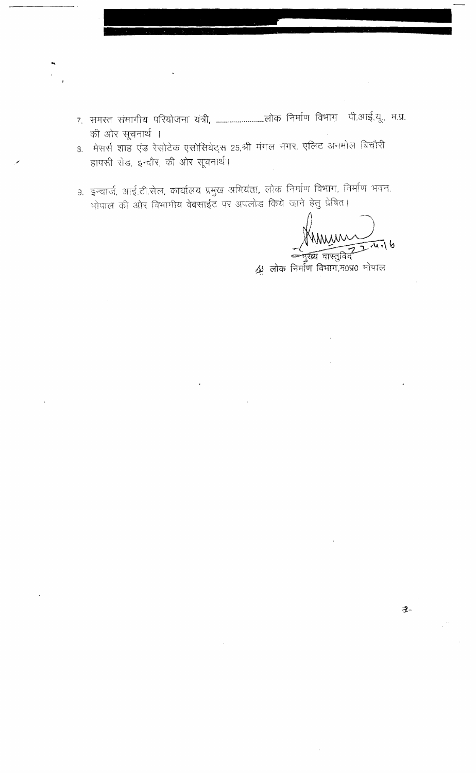- की ओर सूचनार्थ ।
- 3. मेसर्स शाह एंड रेसोटेक एसोसियेट्स 25,श्री मंगल नगर, एलिट अनमोल बिचौरी हापसी रोड, इन्दौर, की ओर सूचनार्थ।
- 9. इन्चार्ज, आई.टी.सेल, कार्यालय प्रमुख अभियंता, लोक निर्माण विभाग, निर्माण भवन, भोपाल की ओर विभागीय वेबसाईट पर अपलोड किये जाने हेतु प्रेषित।

Murin  $d$   $\overline{J}$ 

 $-2-$ 

्य नाम्बन्धः<br>अत्रु लोकं निर्माणं विभाग,म0प्र0 भोपाल